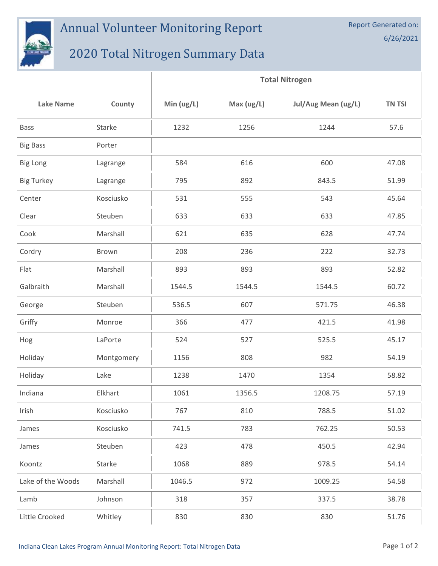

## Annual Volunteer Monitoring Report

## 2020 Total Nitrogen Summary Data

|                   |            | <b>Total Nitrogen</b> |              |                     |        |  |
|-------------------|------------|-----------------------|--------------|---------------------|--------|--|
| <b>Lake Name</b>  | County     | Min $(ug/L)$          | Max $(ug/L)$ | Jul/Aug Mean (ug/L) | TN TSI |  |
| <b>Bass</b>       | Starke     | 1232                  | 1256         | 1244                | 57.6   |  |
| <b>Big Bass</b>   | Porter     |                       |              |                     |        |  |
| <b>Big Long</b>   | Lagrange   | 584                   | 616          | 600                 | 47.08  |  |
| <b>Big Turkey</b> | Lagrange   | 795                   | 892          | 843.5               | 51.99  |  |
| Center            | Kosciusko  | 531                   | 555          | 543                 | 45.64  |  |
| Clear             | Steuben    | 633                   | 633          | 633                 | 47.85  |  |
| Cook              | Marshall   | 621                   | 635          | 628                 | 47.74  |  |
| Cordry            | Brown      | 208                   | 236          | 222                 | 32.73  |  |
| Flat              | Marshall   | 893                   | 893          | 893                 | 52.82  |  |
| Galbraith         | Marshall   | 1544.5                | 1544.5       | 1544.5              | 60.72  |  |
| George            | Steuben    | 536.5                 | 607          | 571.75              | 46.38  |  |
| Griffy            | Monroe     | 366                   | 477          | 421.5               | 41.98  |  |
| Hog               | LaPorte    | 524                   | 527          | 525.5               | 45.17  |  |
| Holiday           | Montgomery | 1156                  | 808          | 982                 | 54.19  |  |
| Holiday           | Lake       | 1238                  | 1470         | 1354                | 58.82  |  |
| Indiana           | Elkhart    | 1061                  | 1356.5       | 1208.75             | 57.19  |  |
| Irish             | Kosciusko  | 767                   | 810          | 788.5               | 51.02  |  |
| James             | Kosciusko  | 741.5                 | 783          | 762.25              | 50.53  |  |
| James             | Steuben    | 423                   | 478          | 450.5               | 42.94  |  |
| Koontz            | Starke     | 1068                  | 889          | 978.5               | 54.14  |  |
| Lake of the Woods | Marshall   | 1046.5                | 972          | 1009.25             | 54.58  |  |
| Lamb              | Johnson    | 318                   | 357          | 337.5               | 38.78  |  |
| Little Crooked    | Whitley    | 830                   | 830          | 830                 | 51.76  |  |